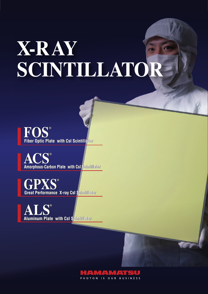# **X-RAY SCINTILLATOR**

 $\mathbf{FOS}^{\circ}$ <br> **ACS Fiber Optic Plate with CsI Scintillator Fiber Optic Plate with CsI Scintillator**

**ACS Amorphous-Carbon Plate with CsI Scintillator Amorphous-Carbon Plate with CsI Scintillator ® ®**

**GPXS ® GPXS ® Great Performance X-ray CsI Scintillator Great Performance X-ray CsI Scintillator**



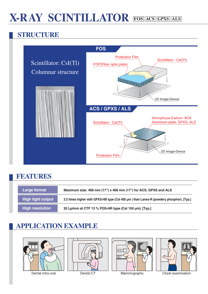## **X-RAY SCINTILLATOR FOS ACS GPXS ALS**

#### **STRUCTURE**



#### **FEATURES**

| Large format           | Maximum size: 468 mm (17") x 468 mm (17") for ACS, GPXS and ALS                         |
|------------------------|-----------------------------------------------------------------------------------------|
| High light output      | 3.2 times higher with GPXS-HB type (CsI 400 µm) than Lanex-R (powdery phosphor). [Typ.] |
| <b>High resolution</b> | 20 Lp/mm at CTF 13 % FOS-HR type (CsI 150 µm). [Typ.]                                   |

#### **APPLICATION EXAMPLE**









Dental intra oral **Dental CT** Mammography Chest examination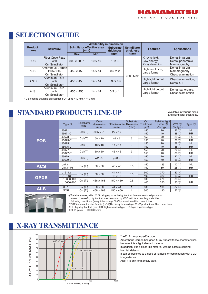### **SELECTION GUIDE**

|                        |                                                          | <b>Availability in dimension</b>    |                |                                                                   |           |                                    |                                        |  |
|------------------------|----------------------------------------------------------|-------------------------------------|----------------|-------------------------------------------------------------------|-----------|------------------------------------|----------------------------------------|--|
| <b>Product</b><br>name | <b>Structure</b>                                         | Scintillator effective area<br>(mm) |                | <b>Scintillator</b><br><b>Substrate</b><br>thickness<br>thickness |           | <b>Features</b>                    | <b>Applications</b>                    |  |
|                        |                                                          | Max.                                | Min.           | (mm)                                                              | $(\mu m)$ |                                    |                                        |  |
|                        | <b>Fiber Optic Plate</b>                                 |                                     |                |                                                                   |           | X-ray shield,                      | Dental intra oral,                     |  |
| <b>FOS</b>             | with                                                     | $300 \times 300$ *                  | $10 \times 10$ | $1$ to $3$                                                        |           | Low energy                         | Dental panoramic,                      |  |
|                        | Csl Scintillator                                         |                                     |                |                                                                   |           | X-ray detection                    | Mammography                            |  |
| <b>ACS</b>             | Amorphous-Carbon<br>Plate with                           | $450 \times 450$                    | $14 \times 14$ | $0.5$ to 2                                                        |           | High resolution,                   | Dental intra oral,<br>Mammography,     |  |
|                        | <b>Csl Scintillator</b>                                  |                                     |                |                                                                   | 2500 Max. | Large format                       | Chest examination                      |  |
| <b>GPXS</b>            | <b>Aluminum Plate</b><br>with<br><b>Csl Scintillator</b> | $450 \times 450$                    | $14 \times 14$ | $0.3$ or $0.5$                                                    |           | High light output,<br>Large format | Chest examination,<br>Dental CT        |  |
| <b>ALS</b>             | <b>Aluminum Plate</b><br>with<br>Csl Scintillator        | $450 \times 450$                    | $14 \times 14$ | $0.3$ or 1                                                        |           | High light output,<br>Large format | Dental-panoramic,<br>Chest examination |  |

 $*$  CsI coating available on supplied FOP up to 440 mm  $\times$  440 mm.

## **STANDARD PRODUCTS LINE-UP**

\* Available in various sizes and scintillator thickness.

|             | Type No.   | Scintillator<br>type | Outer<br>dimension<br>(mm) | <b>Effective area Thickness</b><br>(mm) | Substrate<br>(mm) | Csl<br><b>Thickness</b><br>$(\mu m)$ | Relative light<br>output $\circledA$<br>(% Typ.) | $CTF$ $(B)$<br>$(%$ (% Typ.) | $Type \odot$ |
|-------------|------------|----------------------|----------------------------|-----------------------------------------|-------------------|--------------------------------------|--------------------------------------------------|------------------------------|--------------|
|             | J6671      | CsI (TI)             | $30.5 \times 21$           | $27 \times 17$                          | 3                 | 150                                  | 70                                               | $22$ $(D)$                   | <b>HL</b>    |
|             | J6671-01   |                      |                            |                                         |                   | 150                                  | 40                                               | $38$ $(D)$                   | <b>HR</b>    |
|             | J6673      | CsI (TI)             | $50 \times 10$             | $46 \times 6$                           | 3                 | 150                                  | 70                                               | $22$ $\circledcirc$          | <b>HL</b>    |
| <b>FOS</b>  | J6673-01   |                      |                            |                                         |                   | 150                                  | 40                                               | $38$ $(D)$                   | <b>HR</b>    |
|             | J6675      | CsI (TI)             | $18 \times 18$             | $14 \times 14$                          | 3                 | 150                                  | 70                                               | $22$ $(D)$                   | <b>HL</b>    |
|             | J6675-01   |                      |                            |                                         |                   | 150                                  | 40                                               | 38 (D)                       | <b>HR</b>    |
|             | J6677      | CsI (TI)             | $50 \times 50$             | $46 \times 46$                          | 3                 | 150                                  | 70                                               | $22$ (D)                     | <b>HL</b>    |
|             | J6677-01   |                      |                            |                                         |                   | 150                                  | 40                                               | 38 (D)                       | <b>HR</b>    |
|             | J6679      | CsI (TI)             | $\phi$ 26.5                | $\phi$ 23.5                             | 3                 | 150                                  | 70                                               | $22$ $(D)$                   | <b>HL</b>    |
|             | J6679-01   |                      |                            |                                         |                   | 150                                  | 40                                               | $38$ $(D)$                   | <b>HR</b>    |
|             | J8734      |                      |                            |                                         |                   | 150                                  | 125                                              | 12(D)                        | HL           |
| <b>ACS</b>  | J8734-01   | Csl (TI)             | $50 \times 50$             | $46 \times 46$                          | 0.5               | 150                                  | 50                                               | $25$ (D)                     | <b>HR</b>    |
|             |            |                      |                            |                                         |                   |                                      |                                                  |                              |              |
|             | J13112     | Csl (TI)             | $50 \times 50$             | $44 \times 44$                          | 0.5               | 600                                  | 270                                              | 33(E)                        |              |
| <b>GPXS</b> | J13113     |                      |                            | $45 \times 45$                          |                   | 400                                  | 320                                              | 33 (E)                       | HB           |
|             | J10666-100 | CsI (TI)             | $468 \times 468$           | $450 \times 450$                        | 0.5               | 600                                  | 270                                              | 33(E)                        |              |
|             | J10666-200 |                      |                            |                                         |                   | 400                                  | 320                                              | 33 (E)                       | <b>HB</b>    |
|             | J8978      | Csl (TI)             | $50 \times 50$             | $44 \times 44$                          |                   | 600                                  | 190                                              | 37(E)                        |              |
| <b>ALS</b>  | J9857      | Csl (TI)             | $468 \times 468$           | $450 \times 450$                        |                   | 600                                  | 190                                              | 37 <sup>(E)</sup>            |              |



ARelative values, with 100 % being equal to the light output from conventional phosphor screen (Lanex-R), Light output was measured by CCD with lens coupling under the

following conditions :(X-ray tube voltage 60 kV p, aluminum filter 1 mm thick) BCTF (contrast transfer function) CsI(Tl) : X-ray tube voltage 60 kV p, aluminum filter 1 mm thick

CHL: high light output type, HR: high resolution type, HB: high brightness type

Dat 10 lp/mm Eat 3 lp/mm

## **X-RAY TRANSMITTANCE**



\* a-C: Amorphous-Carbon

Amorphous Carbon has good X-ray transmittance characteristics because it is a light element material.

In addition, it is a glass like material with no particle causing blemish defects.

It can be polished to a good of flatness for combination with a 2D image device.

Also, it is environmentally safe.